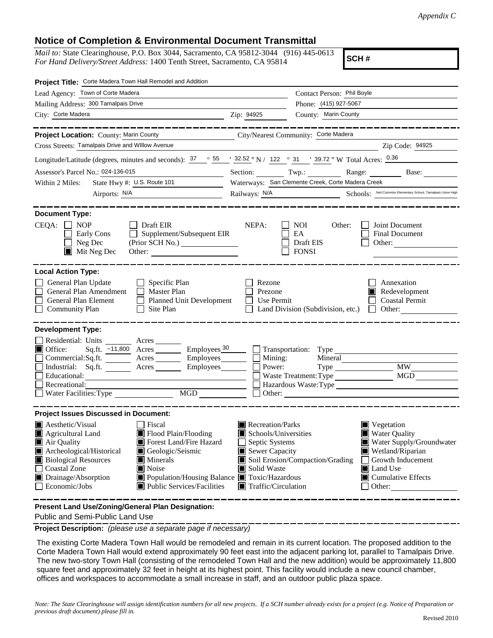## **Notice of Completion & Environmental Document Transmittal**

*Mail to:* State Clearinghouse, P.O. Box 3044, Sacramento, CA 95812-3044 (916) 445-0613 *For Hand Delivery/Street Address:* 1400 Tenth Street, Sacramento, CA 95814

**SCH #**

| Project Title: Corte Madera Town Hall Remodel and Addition                                                                                                                                                                                                                           |                                          |                                                         |                                                                             |  |
|--------------------------------------------------------------------------------------------------------------------------------------------------------------------------------------------------------------------------------------------------------------------------------------|------------------------------------------|---------------------------------------------------------|-----------------------------------------------------------------------------|--|
| Lead Agency: Town of Corte Madera                                                                                                                                                                                                                                                    |                                          | Contact Person: Phil Boyle                              |                                                                             |  |
| Mailing Address: 300 Tamalpais Drive                                                                                                                                                                                                                                                 |                                          | Phone: (415) 927-5067<br>County: Marin County           |                                                                             |  |
| City: Corte Madera Zip: 94925                                                                                                                                                                                                                                                        |                                          |                                                         |                                                                             |  |
| ___________<br>Project Location: County: Marin County County City/Nearest Community: Corte Madera                                                                                                                                                                                    |                                          |                                                         | _______________                                                             |  |
| Cross Streets: Tamalpais Drive and Willow Avenue                                                                                                                                                                                                                                     |                                          |                                                         | Zip Code: 94925                                                             |  |
| Longitude/Latitude (degrees, minutes and seconds): $\frac{37}{100}$ $\frac{55}{100}$ / $\frac{32.52}{100}$ N / 122 $\degree$ 31 / 39.72 " W Total Acres: $\frac{0.36}{100}$                                                                                                          |                                          |                                                         |                                                                             |  |
| Assessor's Parcel No.: 024-136-015<br><u> 1990 - John Stein, mars and de la po</u>                                                                                                                                                                                                   |                                          |                                                         | Section: Twp.: Range: Base:                                                 |  |
| State Hwy #: U.S. Route 101<br>Within 2 Miles:                                                                                                                                                                                                                                       |                                          | Waterways: San Clemente Creek, Corte Madera Creek       |                                                                             |  |
| Airports: N/A                                                                                                                                                                                                                                                                        |                                          |                                                         | Railways: N/A Schools: Neil Cummins Elementary School, Tamalpais Union High |  |
| <b>Document Type:</b>                                                                                                                                                                                                                                                                |                                          |                                                         |                                                                             |  |
| $CEQA: \Box NP$<br>Draft EIR<br>$\Box$ Supplement/Subsequent EIR<br>Early Cons<br>$\Box$ Neg Dec<br>$\blacksquare$ Mit Neg Dec<br>Other: $\qquad \qquad$                                                                                                                             | NEPA:                                    | <b>NOI</b><br>Other:<br>EA<br>Draft EIS<br><b>FONSI</b> | Joint Document<br><b>Final Document</b><br>Other:                           |  |
| <b>Local Action Type:</b>                                                                                                                                                                                                                                                            |                                          |                                                         |                                                                             |  |
| General Plan Update<br>Specific Plan                                                                                                                                                                                                                                                 | Rezone                                   |                                                         | Annexation                                                                  |  |
| General Plan Amendment<br>Master Plan<br>General Plan Element<br>Planned Unit Development                                                                                                                                                                                            | Prezone<br>Use Permit<br>⊔               |                                                         | Redevelopment<br><b>Coastal Permit</b>                                      |  |
| Community Plan<br>Site Plan                                                                                                                                                                                                                                                          |                                          | Land Division (Subdivision, etc.)                       | $\Box$ Other:                                                               |  |
| <b>Development Type:</b><br>Residential: Units ________ Acres _______<br>Sq.ft. $\sim$ 11,800 Acres ________ Employees $\frac{30}{2}$<br>■ Office:<br>Commercial:Sq.ft. Acres Employees<br>$\Box$ Educational:<br>Recreational:<br>$\overline{MGD}$<br>$\Box$ Water Facilities: Type | Power:<br>Other:                         | Mining:                                                 | $Type$ $MW_$<br>Hazardous Waste:Type                                        |  |
| <b>Project Issues Discussed in Document:</b>                                                                                                                                                                                                                                         |                                          |                                                         |                                                                             |  |
| Aesthetic/Visual<br>  Fiscal<br>Flood Plain/Flooding                                                                                                                                                                                                                                 | Recreation/Parks<br>Schools/Universities |                                                         | $\blacksquare$ Vegetation<br>■ Water Quality                                |  |
| Agricultural Land<br>Air Quality<br>Forest Land/Fire Hazard                                                                                                                                                                                                                          | Septic Systems                           |                                                         | Water Supply/Groundwater                                                    |  |
| Archeological/Historical<br>Geologic/Seismic                                                                                                                                                                                                                                         | Sewer Capacity                           |                                                         | Wetland/Riparian                                                            |  |
| <b>Biological Resources</b><br>$\blacksquare$ Minerals                                                                                                                                                                                                                               |                                          | Soil Erosion/Compaction/Grading                         | Growth Inducement                                                           |  |
| Noise<br>Coastal Zone<br>Drainage/Absorption<br>■ Population/Housing Balance ■ Toxic/Hazardous                                                                                                                                                                                       | Solid Waste                              |                                                         | Land Use<br>$\blacksquare$ Cumulative Effects                               |  |
| Public Services/Facilities<br>$\Box$ Economic/Jobs                                                                                                                                                                                                                                   | $\blacksquare$ Traffic/Circulation       |                                                         | $\Box$ Other:                                                               |  |
|                                                                                                                                                                                                                                                                                      |                                          |                                                         |                                                                             |  |

**Present Land Use/Zoning/General Plan Designation:**

Public and Semi-Public Land Use

**Project Description:** *(please use a separate page if necessary)*

 The existing Corte Madera Town Hall would be remodeled and remain in its current location. The proposed addition to the Corte Madera Town Hall would extend approximately 90 feet east into the adjacent parking lot, parallel to Tamalpais Drive. The new two-story Town Hall (consisting of the remodeled Town Hall and the new addition) would be approximately 11,800 square feet and approximately 32 feet in height at its highest point. This facility would include a new council chamber, offices and workspaces to accommodate a small increase in staff, and an outdoor public plaza space.

*Note: The State Clearinghouse will assign identification numbers for all new projects. If a SCH number already exists for a project (e.g. Notice of Preparation or previous draft document) please fill in.*